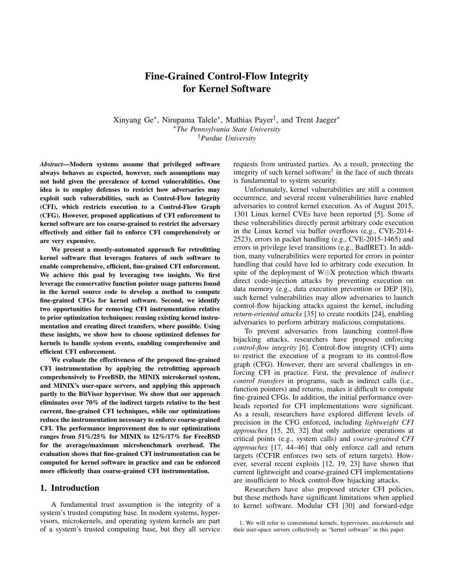# Fine-Grained Control-Flow Integrity for Kernel Software

Xinyang Ge<sup>∗</sup> , Nirupama Talele<sup>∗</sup> , Mathias Payer† , and Trent Jaeger<sup>∗</sup> <sup>∗</sup>*The Pennsylvania State University* †*Purdue University*

*Abstract*—Modern systems assume that privileged software always behaves as expected, however, such assumptions may not hold given the prevalence of kernel vulnerabilities. One idea is to employ defenses to restrict how adversaries may exploit such vulnerabilities, such as Control-Flow Integrity (CFI), which restricts execution to a Control-Flow Graph (CFG). However, proposed applications of CFI enforcement to kernel software are too coarse-grained to restrict the adversary effectively and either fail to enforce CFI comprehensively or are very expensive.

We present a mostly-automated approach for retrofitting kernel software that leverages features of such software to enable comprehensive, efficient, fine-grained CFI enforcement. We achieve this goal by leveraging two insights. We first leverage the conservative function pointer usage patterns found in the kernel source code to develop a method to compute fine-grained CFGs for kernel software. Second, we identify two opportunities for removing CFI instrumentation relative to prior optimization techniques: reusing existing kernel instrumentation and creating direct transfers, where possible. Using these insights, we show how to choose optimized defenses for kernels to handle system events, enabling comprehensive and efficient CFI enforcement.

We evaluate the effectiveness of the proposed fine-grained CFI instrumentation by applying the retrofitting approach comprehensively to FreeBSD, the MINIX microkernel system, and MINIX's user-space servers, and applying this approach partly to the BitVisor hypervisor. We show that our approach eliminates over 70% of the indirect targets relative to the best current, fine-grained CFI techniques, while our optimizations reduce the instrumentation necessary to enforce coarse-grained CFI. The performance improvement due to our optimizations ranges from 51%/25% for MINIX to 12%/17% for FreeBSD for the average/maximum microbenchmark overhead. The evaluation shows that fine-grained CFI instrumentation can be computed for kernel software in practice and can be enforced more efficiently than coarse-grained CFI instrumentation.

#### 1. Introduction

A fundamental trust assumption is the integrity of a system's trusted computing base. In modern systems, hypervisors, microkernels, and operating system kernels are part of a system's trusted computing base, but they all service requests from untrusted parties. As a result, protecting the integrity of such kernel software<sup>1</sup> in the face of such threats is fundamental to system security.

Unfortunately, kernel vulnerabilities are still a common occurrence, and several recent vulnerabilities have enabled adversaries to control kernel execution. As of August 2015, 1301 Linux kernel CVEs have been reported [5]. Some of these vulnerabilities directly permit arbitrary code execution in the Linux kernel via buffer overflows (e.g., CVE-2014- 2523), errors in packet handling (e.g., CVE-2015-1465) and errors in privilege level transitions (e.g., BadIRET). In addition, many vulnerabilities were reported for errors in pointer handling that could have led to arbitrary code execution. In spite of the deployment of W⊕X protection which thwarts direct code-injection attacks by preventing execution on data memory (e.g., data execution prevention or DEP [8]), such kernel vulnerabilities may allow adversaries to launch control-flow hijacking attacks against the kernel, including *return-oriented attacks* [35] to create rootkits [24], enabling adversaries to perform arbitrary malicious computations.

To prevent adversaries from launching control-flow hijacking attacks, researchers have proposed enforcing *control-flow integrity* [6]. Control-flow integrity (CFI) aims to restrict the execution of a program to its control-flow graph (CFG). However, there are several challenges in enforcing CFI in practice. First, the prevalence of *indirect control transfers* in programs, such as indirect calls (i.e., function pointers) and returns, makes it difficult to compute fine-grained CFGs. In addition, the initial performance overheads reported for CFI implementations were significant. As a result, researchers have explored different levels of precision in the CFG enforced, including *lightweight CFI approaches* [15, 20, 32] that only authorize operations at critical points (e.g., system calls) and *coarse-grained CFI approaches* [17, 44–46] that only enforce call and return targets (CCFIR enforces two sets of return targets). However, several recent exploits [12, 19, 23] have shown that current lightweight and coarse-grained CFI implementations are insufficient to block control-flow hijacking attacks.

Researchers have also proposed stricter CFI policies, but these methods have significant limitations when applied to kernel software. Modular CFI [30] and forward-edge

<sup>1.</sup> We will refer to conventional kernels, hypervisors, microkernels and their user-space servers collectively as "kernel software" in this paper.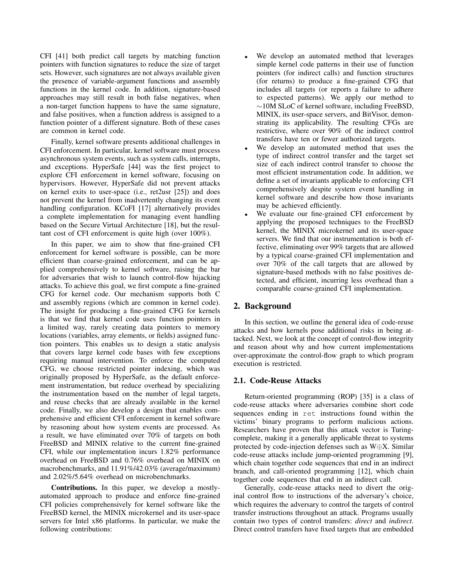CFI [41] both predict call targets by matching function pointers with function signatures to reduce the size of target sets. However, such signatures are not always available given the presence of variable-argument functions and assembly functions in the kernel code. In addition, signature-based approaches may still result in both false negatives, when a non-target function happens to have the same signature, and false positives, when a function address is assigned to a function pointer of a different signature. Both of these cases are common in kernel code.

Finally, kernel software presents additional challenges in CFI enforcement. In particular, kernel software must process asynchronous system events, such as system calls, interrupts, and exceptions. HyperSafe [44] was the first project to explore CFI enforcement in kernel software, focusing on hypervisors. However, HyperSafe did not prevent attacks on kernel exits to user-space (i.e., ret2usr [25]) and does not prevent the kernel from inadvertently changing its event handling configuration. KCoFI [17] alternatively provides a complete implementation for managing event handling based on the Secure Virtual Architecture [18], but the resultant cost of CFI enforcement is quite high (over 100%).

In this paper, we aim to show that fine-grained CFI enforcement for kernel software is possible, can be more efficient than coarse-grained enforcement, and can be applied comprehensively to kernel software, raising the bar for adversaries that wish to launch control-flow hijacking attacks. To achieve this goal, we first compute a fine-grained CFG for kernel code. Our mechanism supports both C and assembly regions (which are common in kernel code). The insight for producing a fine-grained CFG for kernels is that we find that kernel code uses function pointers in a limited way, rarely creating data pointers to memory locations (variables, array elements, or fields) assigned function pointers. This enables us to design a static analysis that covers large kernel code bases with few exceptions requiring manual intervention. To enforce the computed CFG, we choose restricted pointer indexing, which was originally proposed by HyperSafe, as the default enforcement instrumentation, but reduce overhead by specializing the instrumentation based on the number of legal targets, and reuse checks that are already available in the kernel code. Finally, we also develop a design that enables comprehensive and efficient CFI enforcement in kernel software by reasoning about how system events are processed. As a result, we have eliminated over 70% of targets on both FreeBSD and MINIX relative to the current fine-grained CFI, while our implementation incurs 1.82% performance overhead on FreeBSD and 0.76% overhead on MINIX on macrobenchmarks, and 11.91%/42.03% (average/maximum) and 2.02%/5.64% overhead on microbenchmarks.

Contributions. In this paper, we develop a mostlyautomated approach to produce and enforce fine-grained CFI policies comprehensively for kernel software like the FreeBSD kernel, the MINIX microkernel and its user-space servers for Intel x86 platforms. In particular, we make the following contributions:

- We develop an automated method that leverages simple kernel code patterns in their use of function pointers (for indirect calls) and function structures (for returns) to produce a fine-grained CFG that includes all targets (or reports a failure to adhere to expected patterns). We apply our method to ∼10M SLoC of kernel software, including FreeBSD, MINIX, its user-space servers, and BitVisor, demonstrating its applicability. The resulting CFGs are restrictive, where over 90% of the indirect control transfers have ten or fewer authorized targets.
- We develop an automated method that uses the type of indirect control transfer and the target set size of each indirect control transfer to choose the most efficient instrumentation code. In addition, we define a set of invariants applicable to enforcing CFI comprehensively despite system event handling in kernel software and describe how those invariants may be achieved efficiently.
- We evaluate our fine-grained CFI enforcement by applying the proposed techniques to the FreeBSD kernel, the MINIX microkernel and its user-space servers. We find that our instrumentation is both effective, eliminating over 99% targets that are allowed by a typical coarse-grained CFI implementation and over 70% of the call targets that are allowed by signature-based methods with no false positives detected, and efficient, incurring less overhead than a comparable coarse-grained CFI implementation.

# 2. Background

In this section, we outline the general idea of code-reuse attacks and how kernels pose additional risks in being attacked. Next, we look at the concept of control-flow integrity and reason about why and how current implementations over-approximate the control-flow graph to which program execution is restricted.

# 2.1. Code-Reuse Attacks

Return-oriented programming (ROP) [35] is a class of code-reuse attacks where adversaries combine short code sequences ending in ret instructions found within the victims' binary programs to perform malicious actions. Researchers have proven that this attack vector is Turingcomplete, making it a generally applicable threat to systems protected by code-injection defenses such as W⊕X. Similar code-reuse attacks include jump-oriented programming [9], which chain together code sequences that end in an indirect branch, and call-oriented programming [12], which chain together code sequences that end in an indirect call.

Generally, code-reuse attacks need to divert the original control flow to instructions of the adversary's choice, which requires the adversary to control the targets of control transfer instructions throughout an attack. Programs usually contain two types of control transfers: *direct* and *indirect*. Direct control transfers have fixed targets that are embedded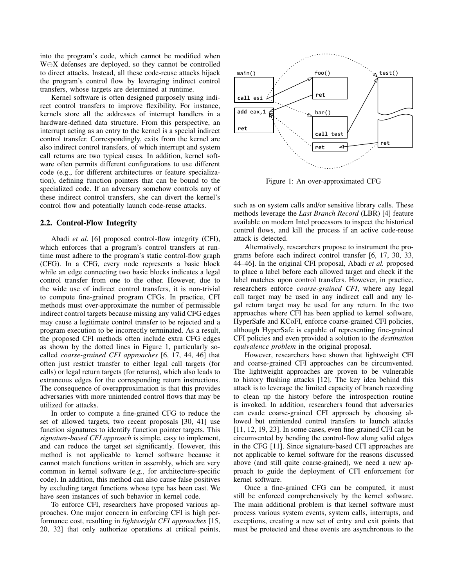into the program's code, which cannot be modified when W⊕X defenses are deployed, so they cannot be controlled to direct attacks. Instead, all these code-reuse attacks hijack the program's control flow by leveraging indirect control transfers, whose targets are determined at runtime.

Kernel software is often designed purposely using indirect control transfers to improve flexibility. For instance, kernels store all the addresses of interrupt handlers in a hardware-defined data structure. From this perspective, an interrupt acting as an entry to the kernel is a special indirect control transfer. Correspondingly, exits from the kernel are also indirect control transfers, of which interrupt and system call returns are two typical cases. In addition, kernel software often permits different configurations to use different code (e.g., for different architectures or feature specialization), defining function pointers that can be bound to the specialized code. If an adversary somehow controls any of these indirect control transfers, she can divert the kernel's control flow and potentially launch code-reuse attacks.

#### 2.2. Control-Flow Integrity

Abadi *et al.* [6] proposed control-flow integrity (CFI), which enforces that a program's control transfers at runtime must adhere to the program's static control-flow graph (CFG). In a CFG, every node represents a basic block while an edge connecting two basic blocks indicates a legal control transfer from one to the other. However, due to the wide use of indirect control transfers, it is non-trivial to compute fine-grained program CFGs. In practice, CFI methods must over-approximate the number of permissible indirect control targets because missing any valid CFG edges may cause a legitimate control transfer to be rejected and a program execution to be incorrectly terminated. As a result, the proposed CFI methods often include extra CFG edges as shown by the dotted lines in Figure 1, particularly socalled *coarse-grained CFI approaches* [6, 17, 44, 46] that often just restrict transfer to either legal call targets (for calls) or legal return targets (for returns), which also leads to extraneous edges for the corresponding return instructions. The consequence of overapproximation is that this provides adversaries with more unintended control flows that may be utilized for attacks.

In order to compute a fine-grained CFG to reduce the set of allowed targets, two recent proposals [30, 41] use function signatures to identify function pointer targets. This *signature-based CFI approach* is simple, easy to implement, and can reduce the target set significantly. However, this method is not applicable to kernel software because it cannot match functions written in assembly, which are very common in kernel software (e.g., for architecture-specific code). In addition, this method can also cause false positives by excluding target functions whose type has been cast. We have seen instances of such behavior in kernel code.

To enforce CFI, researchers have proposed various approaches. One major concern in enforcing CFI is high performance cost, resulting in *lightweight CFI approaches* [15, 20, 32] that only authorize operations at critical points,



Figure 1: An over-approximated CFG

such as on system calls and/or sensitive library calls. These methods leverage the *Last Branch Record* (LBR) [4] feature available on modern Intel processors to inspect the historical control flows, and kill the process if an active code-reuse attack is detected.

Alternatively, researchers propose to instrument the programs before each indirect control transfer [6, 17, 30, 33, 44–46]. In the original CFI proposal, Abadi *et al.* proposed to place a label before each allowed target and check if the label matches upon control transfers. However, in practice, researchers enforce *coarse-grained CFI*, where any legal call target may be used in any indirect call and any legal return target may be used for any return. In the two approaches where CFI has been applied to kernel software, HyperSafe and KCoFI, enforce coarse-grained CFI policies, although HyperSafe is capable of representing fine-grained CFI policies and even provided a solution to the *destination equivalence problem* in the original proposal.

However, researchers have shown that lightweight CFI and coarse-grained CFI approaches can be circumvented. The lightweight approaches are proven to be vulnerable to history flushing attacks [12]. The key idea behind this attack is to leverage the limited capacity of branch recording to clean up the history before the introspection routine is invoked. In addition, researchers found that adversaries can evade coarse-grained CFI approach by choosing allowed but unintended control transfers to launch attacks [11, 12, 19, 23]. In some cases, even fine-grained CFI can be circumvented by bending the control-flow along valid edges in the CFG [11]. Since signature-based CFI approaches are not applicable to kernel software for the reasons discussed above (and still quite coarse-grained), we need a new approach to guide the deployment of CFI enforcement for kernel software.

Once a fine-grained CFG can be computed, it must still be enforced comprehensively by the kernel software. The main additional problem is that kernel software must process various system events, system calls, interrupts, and exceptions, creating a new set of entry and exit points that must be protected and these events are asynchronous to the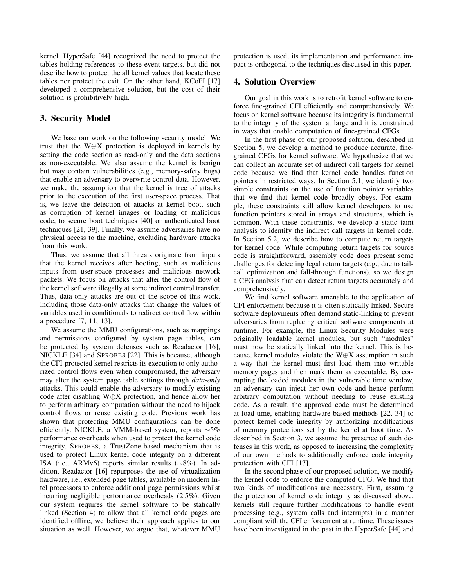kernel. HyperSafe [44] recognized the need to protect the tables holding references to these event targets, but did not describe how to protect the all kernel values that locate these tables nor protect the exit. On the other hand, KCoFI [17] developed a comprehensive solution, but the cost of their solution is prohibitively high.

# 3. Security Model

We base our work on the following security model. We trust that the W⊕X protection is deployed in kernels by setting the code section as read-only and the data sections as non-executable. We also assume the kernel is benign but may contain vulnerabilities (e.g., memory-safety bugs) that enable an adversary to overwrite control data. However, we make the assumption that the kernel is free of attacks prior to the execution of the first user-space process. That is, we leave the detection of attacks at kernel boot, such as corruption of kernel images or loading of malicious code, to secure boot techniques [40] or authenticated boot techniques [21, 39]. Finally, we assume adversaries have no physical access to the machine, excluding hardware attacks from this work.

Thus, we assume that all threats originate from inputs that the kernel receives after booting, such as malicious inputs from user-space processes and malicious network packets. We focus on attacks that alter the control flow of the kernel software illegally at some indirect control transfer. Thus, data-only attacks are out of the scope of this work, including those data-only attacks that change the values of variables used in conditionals to redirect control flow within a procedure [7, 11, 13].

We assume the MMU configurations, such as mappings and permissions configured by system page tables, can be protected by system defenses such as Readactor [16], NICKLE [34] and SPROBES [22]. This is because, although the CFI-protected kernel restricts its execution to only authorized control flows even when compromised, the adversary may alter the system page table settings through *data-only* attacks. This could enable the adversary to modify existing code after disabling W⊕X protection, and hence allow her to perform arbitrary computation without the need to hijack control flows or reuse existing code. Previous work has shown that protecting MMU configurations can be done efficiently. NICKLE, a VMM-based system, reports ∼5% performance overheads when used to protect the kernel code integrity. SPROBES, a TrustZone-based mechanism that is used to protect Linux kernel code integrity on a different ISA (i.e., ARMv6) reports similar results (∼8%). In addition, Readactor [16] repurposes the use of virtualization hardware, i.e., extended page tables, available on modern Intel processors to enforce additional page permissions whilst incurring negligible performance overheads (2.5%). Given our system requires the kernel software to be statically linked (Section 4) to allow that all kernel code pages are identified offline, we believe their approach applies to our situation as well. However, we argue that, whatever MMU protection is used, its implementation and performance impact is orthogonal to the techniques discussed in this paper.

## 4. Solution Overview

Our goal in this work is to retrofit kernel software to enforce fine-grained CFI efficiently and comprehensively. We focus on kernel software because its integrity is fundamental to the integrity of the system at large and it is constrained in ways that enable computation of fine-grained CFGs.

In the first phase of our proposed solution, described in Section 5, we develop a method to produce accurate, finegrained CFGs for kernel software. We hypothesize that we can collect an accurate set of indirect call targets for kernel code because we find that kernel code handles function pointers in restricted ways. In Section 5.1, we identify two simple constraints on the use of function pointer variables that we find that kernel code broadly obeys. For example, these constraints still allow kernel developers to use function pointers stored in arrays and structures, which is common. With these constraints, we develop a static taint analysis to identify the indirect call targets in kernel code. In Section 5.2, we describe how to compute return targets for kernel code. While computing return targets for source code is straightforward, assembly code does present some challenges for detecting legal return targets (e.g., due to tailcall optimization and fall-through functions), so we design a CFG analysis that can detect return targets accurately and comprehensively.

We find kernel software amenable to the application of CFI enforcement because it is often statically linked. Secure software deployments often demand static-linking to prevent adversaries from replacing critical software components at runtime. For example, the Linux Security Modules were originally loadable kernel modules, but such "modules" must now be statically linked into the kernel. This is because, kernel modules violate the W⊕X assumption in such a way that the kernel must first load them into writable memory pages and then mark them as executable. By corrupting the loaded modules in the vulnerable time window, an adversary can inject her own code and hence perform arbitrary computation without needing to reuse existing code. As a result, the approved code must be determined at load-time, enabling hardware-based methods [22, 34] to protect kernel code integrity by authorizing modifications of memory protections set by the kernel at boot time. As described in Section 3, we assume the presence of such defenses in this work, as opposed to increasing the complexity of our own methods to additionally enforce code integrity protection with CFI [17].

In the second phase of our proposed solution, we modify the kernel code to enforce the computed CFG. We find that two kinds of modifications are necessary. First, assuming the protection of kernel code integrity as discussed above, kernels still require further modifications to handle event processing (e.g., system calls and interrupts) in a manner compliant with the CFI enforcement at runtime. These issues have been investigated in the past in the HyperSafe [44] and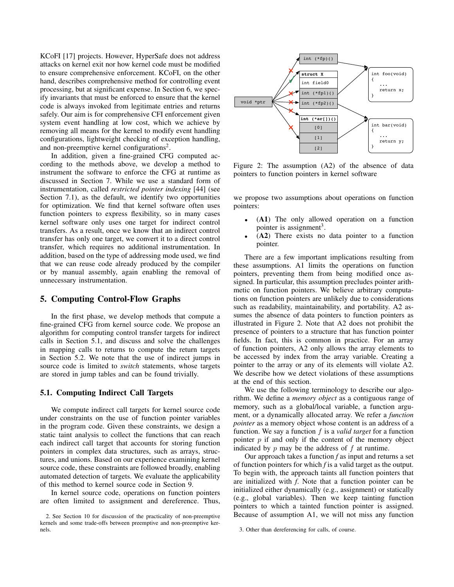KCoFI [17] projects. However, HyperSafe does not address attacks on kernel exit nor how kernel code must be modified to ensure comprehensive enforcement. KCoFI, on the other hand, describes comprehensive method for controlling event processing, but at significant expense. In Section 6, we specify invariants that must be enforced to ensure that the kernel code is always invoked from legitimate entries and returns safely. Our aim is for comprehensive CFI enforcement given system event handling at low cost, which we achieve by removing all means for the kernel to modify event handling configurations, lightweight checking of exception handling, and non-preemptive kernel configurations<sup>2</sup>.

In addition, given a fine-grained CFG computed according to the methods above, we develop a method to instrument the software to enforce the CFG at runtime as discussed in Section 7. While we use a standard form of instrumentation, called *restricted pointer indexing* [44] (see Section 7.1), as the default, we identify two opportunities for optimization. We find that kernel software often uses function pointers to express flexibility, so in many cases kernel software only uses one target for indirect control transfers. As a result, once we know that an indirect control transfer has only one target, we convert it to a direct control transfer, which requires no additional instrumentation. In addition, based on the type of addressing mode used, we find that we can reuse code already produced by the compiler or by manual assembly, again enabling the removal of unnecessary instrumentation.

### 5. Computing Control-Flow Graphs

In the first phase, we develop methods that compute a fine-grained CFG from kernel source code. We propose an algorithm for computing control transfer targets for indirect calls in Section 5.1, and discuss and solve the challenges in mapping calls to returns to compute the return targets in Section 5.2. We note that the use of indirect jumps in source code is limited to *switch* statements, whose targets are stored in jump tables and can be found trivially.

#### 5.1. Computing Indirect Call Targets

We compute indirect call targets for kernel source code under constraints on the use of function pointer variables in the program code. Given these constraints, we design a static taint analysis to collect the functions that can reach each indirect call target that accounts for storing function pointers in complex data structures, such as arrays, structures, and unions. Based on our experience examining kernel source code, these constraints are followed broadly, enabling automated detection of targets. We evaluate the applicability of this method to kernel source code in Section 9.

In kernel source code, operations on function pointers are often limited to assignment and dereference. Thus,



Figure 2: The assumption (A2) of the absence of data pointers to function pointers in kernel software

we propose two assumptions about operations on function pointers:

- (A1) The only allowed operation on a function pointer is assignment<sup>3</sup>.
- $(A2)$  There exists no data pointer to a function pointer.

There are a few important implications resulting from these assumptions. A1 limits the operations on function pointers, preventing them from being modified once assigned. In particular, this assumption precludes pointer arithmetic on function pointers. We believe arbitrary computations on function pointers are unlikely due to considerations such as readability, maintainability, and portability. A2 assumes the absence of data pointers to function pointers as illustrated in Figure 2. Note that A2 does not prohibit the presence of pointers to a structure that has function pointer fields. In fact, this is common in practice. For an array of function pointers, A2 only allows the array elements to be accessed by index from the array variable. Creating a pointer to the array or any of its elements will violate A2. We describe how we detect violations of these assumptions at the end of this section.

We use the following terminology to describe our algorithm. We define a *memory object* as a contiguous range of memory, such as a global/local variable, a function argument, or a dynamically allocated array. We refer a *function pointer* as a memory object whose content is an address of a function. We say a function f is a *valid target* for a function pointer  $p$  if and only if the content of the memory object indicated by  $p$  may be the address of  $f$  at runtime.

Our approach takes a function *f* as input and returns a set of function pointers for which *f* is a valid target as the output. To begin with, the approach taints all function pointers that are initialized with *f*. Note that a function pointer can be initialized either dynamically (e.g., assignment) or statically (e.g., global variables). Then we keep tainting function pointers to which a tainted function pointer is assigned. Because of assumption A1, we will not miss any function

<sup>2.</sup> See Section 10 for discussion of the practicality of non-preemptive kernels and some trade-offs between preemptive and non-preemptive kernels.

<sup>3.</sup> Other than dereferencing for calls, of course.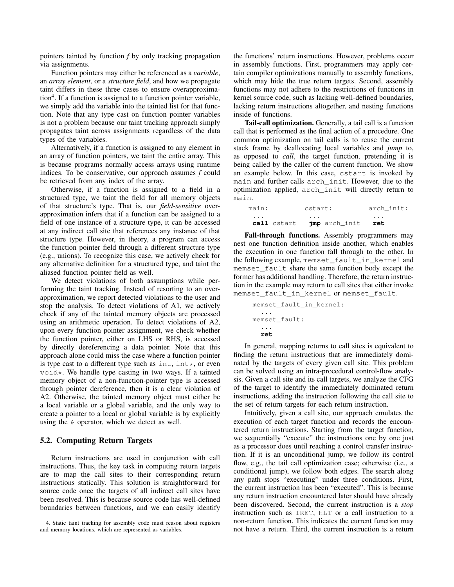pointers tainted by function *f* by only tracking propagation via assignments.

Function pointers may either be referenced as a *variable*, an *array element*, or a *structure field*, and how we propagate taint differs in these three cases to ensure overapproximation<sup>4</sup>. If a function is assigned to a function pointer variable, we simply add the variable into the tainted list for that function. Note that any type cast on function pointer variables is not a problem because our taint tracking approach simply propagates taint across assignments regardless of the data types of the variables.

Alternatively, if a function is assigned to any element in an array of function pointers, we taint the entire array. This is because programs normally access arrays using runtime indices. To be conservative, our approach assumes *f* could be retrieved from any index of the array.

Otherwise, if a function is assigned to a field in a structured type, we taint the field for all memory objects of that structure's type. That is, our *field-sensitive* overapproximation infers that if a function can be assigned to a field of one instance of a structure type, it can be accessed at any indirect call site that references any instance of that structure type. However, in theory, a program can access the function pointer field through a different structure type (e.g., unions). To recognize this case, we actively check for any alternative definition for a structured type, and taint the aliased function pointer field as well.

We detect violations of both assumptions while performing the taint tracking. Instead of resorting to an overapproximation, we report detected violations to the user and stop the analysis. To detect violations of A1, we actively check if any of the tainted memory objects are processed using an arithmetic operation. To detect violations of A2, upon every function pointer assignment, we check whether the function pointer, either on LHS or RHS, is accessed by directly dereferencing a data pointer. Note that this approach alone could miss the case where a function pointer is type cast to a different type such as  $int$ ,  $int$ , or even void\*. We handle type casting in two ways. If a tainted memory object of a non-function-pointer type is accessed through pointer dereference, then it is a clear violation of A2. Otherwise, the tainted memory object must either be a local variable or a global variable, and the only way to create a pointer to a local or global variable is by explicitly using the & operator, which we detect as well.

# 5.2. Computing Return Targets

Return instructions are used in conjunction with call instructions. Thus, the key task in computing return targets are to map the call sites to their corresponding return instructions statically. This solution is straightforward for source code once the targets of all indirect call sites have been resolved. This is because source code has well-defined boundaries between functions, and we can easily identify the functions' return instructions. However, problems occur in assembly functions. First, programmers may apply certain compiler optimizations manually to assembly functions, which may hide the true return targets. Second, assembly functions may not adhere to the restrictions of functions in kernel source code, such as lacking well-defined boundaries, lacking return instructions altogether, and nesting functions inside of functions.

Tail-call optimization. Generally, a tail call is a function call that is performed as the final action of a procedure. One common optimization on tail calls is to reuse the current stack frame by deallocating local variables and *jump* to, as opposed to *call*, the target function, pretending it is being called by the caller of the current function. We show an example below. In this case, cstart is invoked by main and further calls arch\_init. However, due to the optimization applied, arch\_init will directly return to main.

| main:       | cstart:           | arch init: |
|-------------|-------------------|------------|
| $\cdots$    | $\cdots$          | $\cdots$   |
| call cstart | imp arch_init ret |            |

Fall-through functions. Assembly programmers may nest one function definition inside another, which enables the execution in one function fall through to the other. In the following example, memset fault in kernel and memset\_fault share the same function body except the former has additional handling. Therefore, the return instruction in the example may return to call sites that either invoke memset fault in kernel or memset fault.

memset\_fault\_in\_kernel: ... memset\_fault: ... **ret**

In general, mapping returns to call sites is equivalent to finding the return instructions that are immediately dominated by the targets of every given call site. This problem can be solved using an intra-procedural control-flow analysis. Given a call site and its call targets, we analyze the CFG of the target to identify the immediately dominated return instructions, adding the instruction following the call site to the set of return targets for each return instruction.

Intuitively, given a call site, our approach emulates the execution of each target function and records the encountered return instructions. Starting from the target function, we sequentially "execute" the instructions one by one just as a processor does until reaching a control transfer instruction. If it is an unconditional jump, we follow its control flow, e.g., the tail call optimization case; otherwise (i.e., a conditional jump), we follow both edges. The search along any path stops "executing" under three conditions. First, the current instruction has been "executed". This is because any return instruction encountered later should have already been discovered. Second, the current instruction is a *stop* instruction such as IRET, HLT or a call instruction to a non-return function. This indicates the current function may not have a return. Third, the current instruction is a return

<sup>4.</sup> Static taint tracking for assembly code must reason about registers and memory locations, which are represented as variables.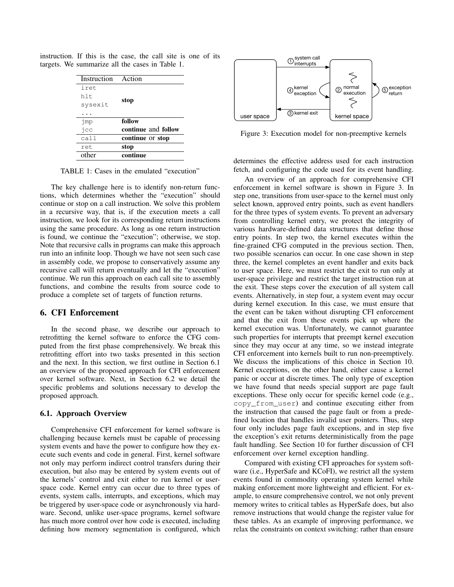| Instruction Action |                     |
|--------------------|---------------------|
| i ret              |                     |
| h1t.               |                     |
| sysexit            | stop                |
|                    |                     |
| jmp                | follow              |
| jсс                | continue and follow |
| call               | continue or stop    |
| ret                | stop                |
| other              | continue            |

instruction. If this is the case, the call site is one of its targets. We summarize all the cases in Table 1.

TABLE 1: Cases in the emulated "execution"

The key challenge here is to identify non-return functions, which determines whether the "execution" should continue or stop on a call instruction. We solve this problem in a recursive way, that is, if the execution meets a call instruction, we look for its corresponding return instructions using the same procedure. As long as one return instruction is found, we continue the "execution"; otherwise, we stop. Note that recursive calls in programs can make this approach run into an infinite loop. Though we have not seen such case in assembly code, we propose to conservatively assume any recursive call will return eventually and let the "execution" continue. We run this approach on each call site to assembly functions, and combine the results from source code to produce a complete set of targets of function returns.

#### 6. CFI Enforcement

In the second phase, we describe our approach to retrofitting the kernel software to enforce the CFG computed from the first phase comprehensively. We break this retrofitting effort into two tasks presented in this section and the next. In this section, we first outline in Section 6.1 an overview of the proposed approach for CFI enforcement over kernel software. Next, in Section 6.2 we detail the specific problems and solutions necessary to develop the proposed approach.

#### 6.1. Approach Overview

Comprehensive CFI enforcement for kernel software is challenging because kernels must be capable of processing system events and have the power to configure how they execute such events and code in general. First, kernel software not only may perform indirect control transfers during their execution, but also may be entered by system events out of the kernels' control and exit either to run kernel or userspace code. Kernel entry can occur due to three types of events, system calls, interrupts, and exceptions, which may be triggered by user-space code or asynchronously via hardware. Second, unlike user-space programs, kernel software has much more control over how code is executed, including defining how memory segmentation is configured, which



Figure 3: Execution model for non-preemptive kernels

determines the effective address used for each instruction fetch, and configuring the code used for its event handling.

An overview of an approach for comprehensive CFI enforcement in kernel software is shown in Figure 3. In step one, transitions from user-space to the kernel must only select known, approved entry points, such as event handlers for the three types of system events. To prevent an adversary from controlling kernel entry, we protect the integrity of various hardware-defined data structures that define those entry points. In step two, the kernel executes within the fine-grained CFG computed in the previous section. Then, two possible scenarios can occur. In one case shown in step three, the kernel completes an event handler and exits back to user space. Here, we must restrict the exit to run only at user-space privilege and restrict the target instruction run at the exit. These steps cover the execution of all system call events. Alternatively, in step four, a system event may occur during kernel execution. In this case, we must ensure that the event can be taken without disrupting CFI enforcement and that the exit from these events pick up where the kernel execution was. Unfortunately, we cannot guarantee such properties for interrupts that preempt kernel execution since they may occur at any time, so we instead integrate CFI enforcement into kernels built to run non-preemptively. We discuss the implications of this choice in Section 10. Kernel exceptions, on the other hand, either cause a kernel panic or occur at discrete times. The only type of exception we have found that needs special support are page fault exceptions. These only occur for specific kernel code (e.g., copy\_from\_user) and continue executing either from the instruction that caused the page fault or from a predefined location that handles invalid user pointers. Thus, step four only includes page fault exceptions, and in step five the exception's exit returns deterministically from the page fault handling. See Section 10 for further discussion of CFI enforcement over kernel exception handling.

Compared with existing CFI approaches for system software (i.e., HyperSafe and KCoFI), we restrict all the system events found in commodity operating system kernel while making enforcement more lightweight and efficient. For example, to ensure comprehensive control, we not only prevent memory writes to critical tables as HyperSafe does, but also remove instructions that would change the register value for these tables. As an example of improving performance, we relax the constraints on context switching: rather than ensure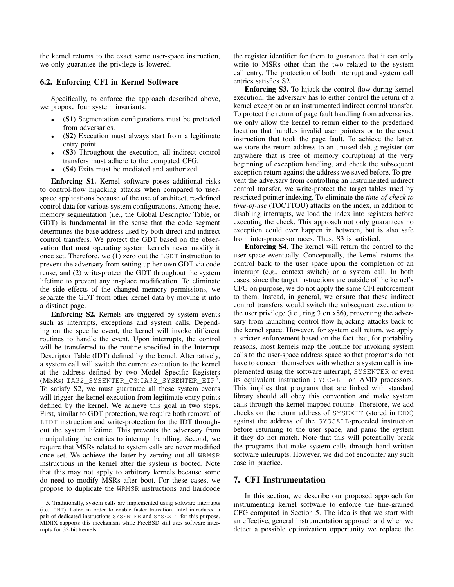the kernel returns to the exact same user-space instruction, we only guarantee the privilege is lowered.

## 6.2. Enforcing CFI in Kernel Software

Specifically, to enforce the approach described above, we propose four system invariants.

- (S1) Segmentation configurations must be protected from adversaries.
- (S2) Execution must always start from a legitimate entry point.
- (S3) Throughout the execution, all indirect control transfers must adhere to the computed CFG.
- (S4) Exits must be mediated and authorized.

Enforcing S1. Kernel software poses additional risks to control-flow hijacking attacks when compared to userspace applications because of the use of architecture-defined control data for various system configurations. Among these, memory segmentation (i.e., the Global Descriptor Table, or GDT) is fundamental in the sense that the code segment determines the base address used by both direct and indirect control transfers. We protect the GDT based on the observation that most operating system kernels never modify it once set. Therefore, we (1) zero out the LGDT instruction to prevent the adversary from setting up her own GDT via code reuse, and (2) write-protect the GDT throughout the system lifetime to prevent any in-place modification. To eliminate the side effects of the changed memory permissions, we separate the GDT from other kernel data by moving it into a distinct page.

Enforcing S2. Kernels are triggered by system events such as interrupts, exceptions and system calls. Depending on the specific event, the kernel will invoke different routines to handle the event. Upon interrupts, the control will be transferred to the routine specified in the Interrupt Descriptor Table (IDT) defined by the kernel. Alternatively, a system call will switch the current execution to the kernel at the address defined by two Model Specific Registers (MSRs) IA32\_SYSENTER\_CS:IA32\_SYSENTER\_EIP<sup>5</sup>. To satisfy S2, we must guarantee all these system events will trigger the kernel execution from legitimate entry points defined by the kernel. We achieve this goal in two steps. First, similar to GDT protection, we require both removal of LIDT instruction and write-protection for the IDT throughout the system lifetime. This prevents the adversary from manipulating the entries to interrupt handling. Second, we require that MSRs related to system calls are never modified once set. We achieve the latter by zeroing out all WRMSR instructions in the kernel after the system is booted. Note that this may not apply to arbitrary kernels because some do need to modify MSRs after boot. For these cases, we propose to duplicate the WRMSR instructions and hardcode the register identifier for them to guarantee that it can only write to MSRs other than the two related to the system call entry. The protection of both interrupt and system call entries satisfies S2.

Enforcing S3. To hijack the control flow during kernel execution, the adversary has to either control the return of a kernel exception or an instrumented indirect control transfer. To protect the return of page fault handling from adversaries, we only allow the kernel to return either to the predefined location that handles invalid user pointers or to the exact instruction that took the page fault. To achieve the latter, we store the return address to an unused debug register (or anywhere that is free of memory corruption) at the very beginning of exception handling, and check the subsequent exception return against the address we saved before. To prevent the adversary from controlling an instrumented indirect control transfer, we write-protect the target tables used by restricted pointer indexing. To eliminate the *time-of-check to time-of-use* (TOCTTOU) attacks on the index, in addition to disabling interrupts, we load the index into registers before executing the check. This approach not only guarantees no exception could ever happen in between, but is also safe from inter-processor races. Thus, S3 is satisfied.

Enforcing S4. The kernel will return the control to the user space eventually. Conceptually, the kernel returns the control back to the user space upon the completion of an interrupt (e.g., context switch) or a system call. In both cases, since the target instructions are outside of the kernel's CFG on purpose, we do not apply the same CFI enforcement to them. Instead, in general, we ensure that these indirect control transfers would switch the subsequent execution to the user privilege (i.e., ring 3 on x86), preventing the adversary from launching control-flow hijacking attacks back to the kernel space. However, for system call return, we apply a stricter enforcement based on the fact that, for portability reasons, most kernels map the routine for invoking system calls to the user-space address space so that programs do not have to concern themselves with whether a system call is implemented using the software interrupt, SYSENTER or even its equivalent instruction SYSCALL on AMD processors. This implies that programs that are linked with standard library should all obey this convention and make system calls through the kernel-mapped routine. Therefore, we add checks on the return address of SYSEXIT (stored in EDX) against the address of the SYSCALL-preceded instruction before returning to the user space, and panic the system if they do not match. Note that this will potentially break the programs that make system calls through hand-written software interrupts. However, we did not encounter any such case in practice.

#### 7. CFI Instrumentation

In this section, we describe our proposed approach for instrumenting kernel software to enforce the fine-grained CFG computed in Section 5. The idea is that we start with an effective, general instrumentation approach and when we detect a possible optimization opportunity we replace the

<sup>5.</sup> Traditionally, system calls are implemented using software interrupts (i.e., INT). Later, in order to enable faster transition, Intel introduced a pair of dedicated instructions SYSENTER and SYSEXIT for this purpose. MINIX supports this mechanism while FreeBSD still uses software interrupts for 32-bit kernels.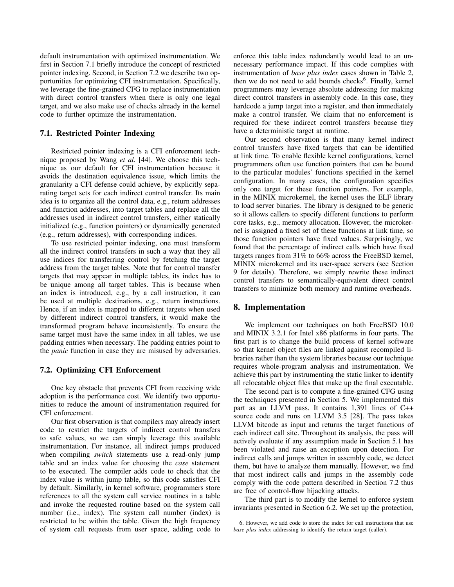default instrumentation with optimized instrumentation. We first in Section 7.1 briefly introduce the concept of restricted pointer indexing. Second, in Section 7.2 we describe two opportunities for optimizing CFI instrumentation. Specifically, we leverage the fine-grained CFG to replace instrumentation with direct control transfers when there is only one legal target, and we also make use of checks already in the kernel code to further optimize the instrumentation.

## 7.1. Restricted Pointer Indexing

Restricted pointer indexing is a CFI enforcement technique proposed by Wang *et al.* [44]. We choose this technique as our default for CFI instrumentation because it avoids the destination equivalence issue, which limits the granularity a CFI defense could achieve, by explicitly separating target sets for each indirect control transfer. Its main idea is to organize all the control data, e.g., return addresses and function addresses, into target tables and replace all the addresses used in indirect control transfers, either statically initialized (e.g., function pointers) or dynamically generated (e.g., return addresses), with corresponding indices.

To use restricted pointer indexing, one must transform all the indirect control transfers in such a way that they all use indices for transferring control by fetching the target address from the target tables. Note that for control transfer targets that may appear in multiple tables, its index has to be unique among all target tables. This is because when an index is introduced, e.g., by a call instruction, it can be used at multiple destinations, e.g., return instructions. Hence, if an index is mapped to different targets when used by different indirect control transfers, it would make the transformed program behave inconsistently. To ensure the same target must have the same index in all tables, we use padding entries when necessary. The padding entries point to the *panic* function in case they are misused by adversaries.

#### 7.2. Optimizing CFI Enforcement

One key obstacle that prevents CFI from receiving wide adoption is the performance cost. We identify two opportunities to reduce the amount of instrumentation required for CFI enforcement.

Our first observation is that compilers may already insert code to restrict the targets of indirect control transfers to safe values, so we can simply leverage this available instrumentation. For instance, all indirect jumps produced when compiling *switch* statements use a read-only jump table and an index value for choosing the *case* statement to be executed. The compiler adds code to check that the index value is within jump table, so this code satisfies CFI by default. Similarly, in kernel software, programmers store references to all the system call service routines in a table and invoke the requested routine based on the system call number (i.e., index). The system call number (index) is restricted to be within the table. Given the high frequency of system call requests from user space, adding code to enforce this table index redundantly would lead to an unnecessary performance impact. If this code complies with instrumentation of *base plus index* cases shown in Table 2, then we do not need to add bounds checks<sup>6</sup>. Finally, kernel programmers may leverage absolute addressing for making direct control transfers in assembly code. In this case, they hardcode a jump target into a register, and then immediately make a control transfer. We claim that no enforcement is required for these indirect control transfers because they have a deterministic target at runtime.

Our second observation is that many kernel indirect control transfers have fixed targets that can be identified at link time. To enable flexible kernel configurations, kernel programmers often use function pointers that can be bound to the particular modules' functions specified in the kernel configuration. In many cases, the configuration specifies only one target for these function pointers. For example, in the MINIX microkernel, the kernel uses the ELF library to load server binaries. The library is designed to be generic so it allows callers to specify different functions to perform core tasks, e.g., memory allocation. However, the microkernel is assigned a fixed set of these functions at link time, so those function pointers have fixed values. Surprisingly, we found that the percentage of indirect calls which have fixed targets ranges from 31% to 66% across the FreeBSD kernel, MINIX microkernel and its user-space servers (see Section 9 for details). Therefore, we simply rewrite these indirect control transfers to semantically-equivalent direct control transfers to minimize both memory and runtime overheads.

#### 8. Implementation

We implement our techniques on both FreeBSD 10.0 and MINIX 3.2.1 for Intel x86 platforms in four parts. The first part is to change the build process of kernel software so that kernel object files are linked against recompiled libraries rather than the system libraries because our technique requires whole-program analysis and instrumentation. We achieve this part by instrumenting the static linker to identify all relocatable object files that make up the final executable.

The second part is to compute a fine-grained CFG using the techniques presented in Section 5. We implemented this part as an LLVM pass. It contains 1,391 lines of C++ source code and runs on LLVM 3.5 [28]. The pass takes LLVM bitcode as input and returns the target functions of each indirect call site. Throughout its analysis, the pass will actively evaluate if any assumption made in Section 5.1 has been violated and raise an exception upon detection. For indirect calls and jumps written in assembly code, we detect them, but have to analyze them manually. However, we find that most indirect calls and jumps in the assembly code comply with the code pattern described in Section 7.2 thus are free of control-flow hijacking attacks.

The third part is to modify the kernel to enforce system invariants presented in Section 6.2. We set up the protection,

<sup>6.</sup> However, we add code to store the index for call instructions that use *base plus index* addressing to identify the return target (caller).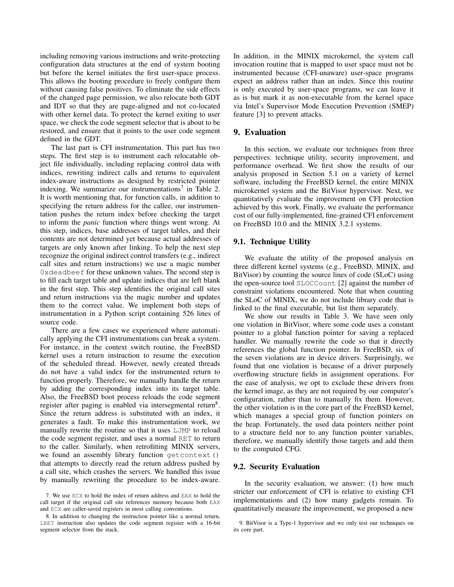including removing various instructions and write-protecting configuration data structures at the end of system booting but before the kernel initiates the first user-space process. This allows the booting procedure to freely configure them without causing false positives. To eliminate the side effects of the changed page permission, we also relocate both GDT and IDT so that they are page-aligned and not co-located with other kernel data. To protect the kernel exiting to user space, we check the code segment selector that is about to be restored, and ensure that it points to the user code segment defined in the GDT.

The last part is CFI instrumentation. This part has two steps. The first step is to instrument each relocatable object file individually, including replacing control data with indices, rewriting indirect calls and returns to equivalent index-aware instructions as designed by restricted pointer indexing. We summarize our instrumentations<sup>7</sup> in Table 2. It is worth mentioning that, for function calls, in addition to specifying the return address for the callee, our instrumentation pushes the return index before checking the target to inform the *panic* function where things went wrong. At this step, indices, base addresses of target tables, and their contents are not determined yet because actual addresses of targets are only known after linking. To help the next step recognize the original indirect control transfers (e.g., indirect call sites and return instructions) we use a magic number 0xdeadbeef for these unknown values. The second step is to fill each target table and update indices that are left blank in the first step. This step identifies the original call sites and return instructions via the magic number and updates them to the correct value. We implement both steps of instrumentation in a Python script containing 526 lines of source code.

There are a few cases we experienced where automatically applying the CFI instrumentations can break a system. For instance, in the context switch routine, the FreeBSD kernel uses a return instruction to resume the execution of the scheduled thread. However, newly created threads do not have a valid index for the instrumented return to function properly. Therefore, we manually handle the return by adding the corresponding index into its target table. Also, the FreeBSD boot process reloads the code segment register after paging is enabled via intersegmental return<sup>8</sup>. Since the return address is substituted with an index, it generates a fault. To make this instrumentation work, we manually rewrite the routine so that it uses LJMP to reload the code segment register, and uses a normal RET to return to the caller. Similarly, when retrofitting MINIX servers, we found an assembly library function getcontext() that attempts to directly read the return address pushed by a call site, which crashes the servers. We handled this issue by manually rewriting the procedure to be index-aware. In addition, in the MINIX microkernel, the system call invocation routine that is mapped to user space must not be instrumented because (CFI-unaware) user-space programs expect an address rather than an index. Since this routine is only executed by user-space programs, we can leave it as is but mark it as non-executable from the kernel space via Intel's Supervisor Mode Execution Prevention (SMEP) feature [3] to prevent attacks.

## 9. Evaluation

In this section, we evaluate our techniques from three perspectives: technique utility, security improvement, and performance overhead. We first show the results of our analysis proposed in Section 5.1 on a variety of kernel software, including the FreeBSD kernel, the entire MINIX microkernel system and the BitVisor hypervisor. Next, we quantitatively evaluate the improvement on CFI protection achieved by this work. Finally, we evaluate the performance cost of our fully-implemented, fine-grained CFI enforcement on FreeBSD 10.0 and the MINIX 3.2.1 systems.

#### 9.1. Technique Utility

We evaluate the utility of the proposed analysis on three different kernel systems (e.g., FreeBSD, MINIX, and BitVisor) by counting the source lines of code (SLoC) using the open-source tool SLOCCount [2] against the number of constraint violations encountered. Note that when counting the SLoC of MINIX, we do not include library code that is linked to the final executable, but list them separately.

We show our results in Table 3. We have seen only one violation in BitVisor, where some code uses a constant pointer to a global function pointer for saving a replaced handler. We manually rewrite the code so that it directly references the global function pointer. In FreeBSD, six of the seven violations are in device drivers. Surprisingly, we found that one violation is because of a driver purposely overflowing structure fields in assignment operations. For the ease of analysis, we opt to exclude these drivers from the kernel image, as they are not required by our computer's configuration, rather than to manually fix them. However, the other violation is in the core part of the FreeBSD kernel, which manages a special group of function pointers on the heap. Fortunately, the used data pointers neither point to a structure field nor to any function pointer variables, therefore, we manually identify those targets and add them to the computed CFG.

#### 9.2. Security Evaluation

In the security evaluation, we answer: (1) how much stricter our enforcement of CFI is relative to existing CFI implementations and (2) how many gadgets remain. To quantitatively measure the improvement, we proposed a new

<sup>7.</sup> We use ECX to hold the index of return address and EAX to hold the call target if the original call site references memory because both EAX and ECX are caller-saved registers in most calling conventions.

<sup>8.</sup> In addition to changing the instruction pointer like a normal return, LRET instruction also updates the code segment register with a 16-bit segment selector from the stack.

<sup>9.</sup> BitVisor is a Type-1 hypervisor and we only test our techniques on its core part.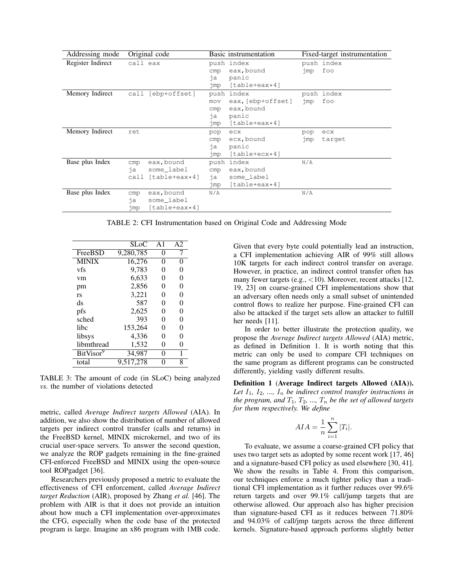| Addressing mode   |          | Original code     |     | Basic instrumentation |     | Fixed-target instrumentation |
|-------------------|----------|-------------------|-----|-----------------------|-----|------------------------------|
| Register Indirect | call eax |                   |     | push index            |     | push index                   |
|                   |          |                   | cmp | eax, bound            | jmp | foo                          |
|                   |          |                   | ja  | panic                 |     |                              |
|                   |          |                   | jmp | $[table+eax*4]$       |     |                              |
| Memory Indirect   |          | call [ebp+offset] |     | push index            |     | push index                   |
|                   |          |                   | mov | eax, [ebp+offset]     | jmp | foo                          |
|                   |          |                   | cmp | eax, bound            |     |                              |
|                   |          |                   | jа  | panic                 |     |                              |
|                   |          |                   | jmp | $[table+eax*4]$       |     |                              |
| Memory Indirect   | ret      |                   | pop | ecx                   | pop | ecx                          |
|                   |          |                   | cmp | ecx, bound            | jmp | target                       |
|                   |          |                   | jа  | panic                 |     |                              |
|                   |          |                   | jmp | $[table+ecx*4]$       |     |                              |
| Base plus Index   | cmp      | eax, bound        |     | push index            | N/A |                              |
|                   | jа       | some_label        | cmp | eax, bound            |     |                              |
|                   | call     | $[table+eax*4]$   | jа  | some_label            |     |                              |
|                   |          |                   | jmp | $[table+eax*4]$       |     |                              |
| Base plus Index   | cmp      | eax, bound        | N/A |                       | N/A |                              |
|                   | jа       | some_label        |     |                       |     |                              |
|                   | jmp      | $[table+eax*4]$   |     |                       |     |                              |

TABLE 2: CFI Instrumentation based on Original Code and Addressing Mode

|                       | <b>SLoC</b> | A <sub>1</sub> | A <sub>2</sub> |
|-----------------------|-------------|----------------|----------------|
| FreeBSD               | 9,280,785   | 0              | 7              |
| <b>MINIX</b>          | 16,276      | 0              | 0              |
| vfs                   | 9,783       | 0              | 0              |
| vm                    | 6.633       | 0              | 0              |
| pm                    | 2.856       | 0              | 0              |
| rs                    | 3,221       | 0              | 0              |
| ds                    | 587         | 0              | 0              |
| pfs                   | 2,625       | 0              | 0              |
| sched                 | 393         | 0              | 0              |
| libc                  | 153,264     | 0              | 0              |
| libsys                | 4,336       | 0              | 0              |
| libmthread            | 1,532       | 0              | 0              |
| BitVisor <sup>9</sup> | 34,987      | 0              | 1              |
| total                 | 9.517.278   |                | 8              |

TABLE 3: The amount of code (in SLoC) being analyzed *vs.* the number of violations detected

metric, called *Average Indirect targets Allowed* (AIA). In addition, we also show the distribution of number of allowed targets per indirect control transfer (calls and returns) in the FreeBSD kernel, MINIX microkernel, and two of its crucial user-space servers. To answer the second question, we analyze the ROP gadgets remaining in the fine-grained CFI-enforced FreeBSD and MINIX using the open-source tool ROPgadget [36].

Researchers previously proposed a metric to evaluate the effectiveness of CFI enforcement, called *Average Indirect target Reduction* (AIR), proposed by Zhang *et al.* [46]. The problem with AIR is that it does not provide an intuition about how much a CFI implementation over-approximates the CFG, especially when the code base of the protected program is large. Imagine an x86 program with 1MB code. Given that every byte could potentially lead an instruction, a CFI implementation achieving AIR of 99% still allows 10K targets for each indirect control transfer on average. However, in practice, an indirect control transfer often has many fewer targets (e.g.,  $\langle 10 \rangle$ ). Moreover, recent attacks [12, 19, 23] on coarse-grained CFI implementations show that an adversary often needs only a small subset of unintended control flows to realize her purpose. Fine-grained CFI can also be attacked if the target sets allow an attacker to fulfill her needs [11].

In order to better illustrate the protection quality, we propose the *Average Indirect targets Allowed* (AIA) metric, as defined in Definition 1. It is worth noting that this metric can only be used to compare CFI techniques on the same program as different programs can be constructed differently, yielding vastly different results.

Definition 1 (Average Indirect targets Allowed (AIA)). Let  $I_1$ ,  $I_2$ , ...,  $I_n$  be indirect control transfer instructions in *the program, and*  $T_1$ ,  $T_2$ , ...,  $T_n$  *be the set of allowed targets for them respectively. We define*

$$
AIA = \frac{1}{n} \sum_{i=1}^{n} |T_i|.
$$

To evaluate, we assume a coarse-grained CFI policy that uses two target sets as adopted by some recent work [17, 46] and a signature-based CFI policy as used elsewhere [30, 41]. We show the results in Table 4. From this comparison, our techniques enforce a much tighter policy than a traditional CFI implementation as it further reduces over 99.6% return targets and over 99.1% call/jump targets that are otherwise allowed. Our approach also has higher precision than signature-based CFI as it reduces between 71.80% and 94.03% of call/jmp targets across the three different kernels. Signature-based approach performs slightly better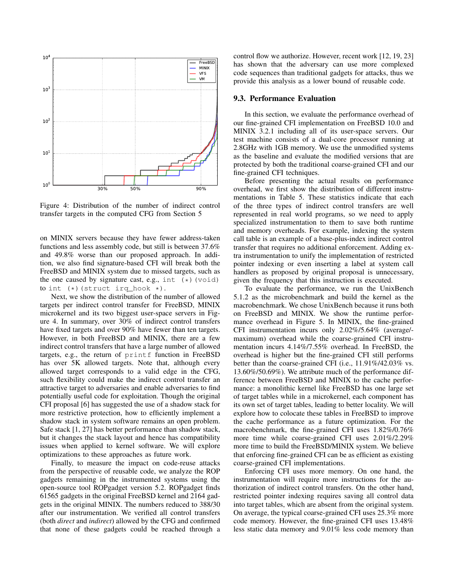

Figure 4: Distribution of the number of indirect control transfer targets in the computed CFG from Section 5

on MINIX servers because they have fewer address-taken functions and less assembly code, but still is between 37.6% and 49.8% worse than our proposed approach. In addition, we also find signature-based CFI will break both the FreeBSD and MINIX system due to missed targets, such as the one caused by signature cast, e.g.,  $int$  ( $\star$ ) (void) to int  $(*)$  (struct irq\_hook  $*)$ .

Next, we show the distribution of the number of allowed targets per indirect control transfer for FreeBSD, MINIX microkernel and its two biggest user-space servers in Figure 4. In summary, over 30% of indirect control transfers have fixed targets and over 90% have fewer than ten targets. However, in both FreeBSD and MINIX, there are a few indirect control transfers that have a large number of allowed targets, e.g., the return of printf function in FreeBSD has over 5K allowed targets. Note that, although every allowed target corresponds to a valid edge in the CFG, such flexibility could make the indirect control transfer an attractive target to adversaries and enable adversaries to find potentially useful code for exploitation. Though the original CFI proposal [6] has suggested the use of a shadow stack for more restrictive protection, how to efficiently implement a shadow stack in system software remains an open problem. Safe stack [1, 27] has better performance than shadow stack, but it changes the stack layout and hence has compatibility issues when applied to kernel software. We will explore optimizations to these approaches as future work.

Finally, to measure the impact on code-reuse attacks from the perspective of reusable code, we analyze the ROP gadgets remaining in the instrumented systems using the open-source tool ROPgadget version 5.2. ROPgadget finds 61565 gadgets in the original FreeBSD kernel and 2164 gadgets in the original MINIX. The numbers reduced to 388/30 after our instrumentation. We verified all control transfers (both *direct* and *indirect*) allowed by the CFG and confirmed that none of these gadgets could be reached through a control flow we authorize. However, recent work [12, 19, 23] has shown that the adversary can use more complexed code sequences than traditional gadgets for attacks, thus we provide this analysis as a lower bound of reusable code.

#### 9.3. Performance Evaluation

In this section, we evaluate the performance overhead of our fine-grained CFI implementation on FreeBSD 10.0 and MINIX 3.2.1 including all of its user-space servers. Our test machine consists of a dual-core processor running at 2.8GHz with 1GB memory. We use the unmodified systems as the baseline and evaluate the modified versions that are protected by both the traditional coarse-grained CFI and our fine-grained CFI techniques.

Before presenting the actual results on performance overhead, we first show the distribution of different instrumentations in Table 5. These statistics indicate that each of the three types of indirect control transfers are well represented in real world programs, so we need to apply specialized instrumentation to them to save both runtime and memory overheads. For example, indexing the system call table is an example of a base-plus-index indirect control transfer that requires no additional enforcement. Adding extra instrumentation to unify the implementation of restricted pointer indexing or even inserting a label at system call handlers as proposed by original proposal is unnecessary, given the frequency that this instruction is executed.

To evaluate the performance, we run the UnixBench 5.1.2 as the microbenchmark and build the kernel as the macrobenchmark. We chose UnixBench because it runs both on FreeBSD and MINIX. We show the runtime performance overhead in Figure 5. In MINIX, the fine-grained CFI instrumentation incurs only 2.02%/5.64% (average/ maximum) overhead while the coarse-grained CFI instrumentation incurs 4.14%/7.55% overhead. In FreeBSD, the overhead is higher but the fine-grained CFI still performs better than the coarse-grained CFI (i.e., 11.91%/42.03% vs. 13.60%/50.69%). We attribute much of the performance difference between FreeBSD and MINIX to the cache performance: a monolithic kernel like FreeBSD has one large set of target tables while in a microkernel, each component has its own set of target tables, leading to better locality. We will explore how to colocate these tables in FreeBSD to improve the cache performance as a future optimization. For the macrobenchmark, the fine-grained CFI uses 1.82%/0.76% more time while coarse-grained CFI uses 2.01%/2.29% more time to build the FreeBSD/MINIX system. We believe that enforcing fine-grained CFI can be as efficient as existing coarse-grained CFI implementations.

Enforcing CFI uses more memory. On one hand, the instrumentation will require more instructions for the authorization of indirect control transfers. On the other hand, restricted pointer indexing requires saving all control data into target tables, which are absent from the original system. On average, the typical coarse-grained CFI uses 25.3% more code memory. However, the fine-grained CFI uses 13.48% less static data memory and 9.01% less code memory than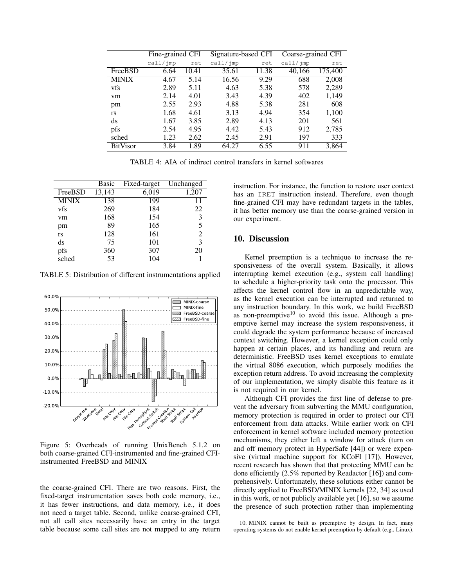|                 | Fine-grained CFI     |       | Signature-based CFI  |       | Coarse-grained CFI   |         |
|-----------------|----------------------|-------|----------------------|-------|----------------------|---------|
|                 | $call$ / $\gamma$ mp | ret   | $call$ / $\gamma$ mp | ret   | $call$ / $\gamma$ mp | ret     |
| FreeBSD         | 6.64                 | 10.41 | 35.61                | 11.38 | 40,166               | 175,400 |
| <b>MINIX</b>    | 4.67                 | 5.14  | 16.56                | 9.29  | 688                  | 2,008   |
| vfs             | 2.89                 | 5.11  | 4.63                 | 5.38  | 578                  | 2,289   |
| vm              | 2.14                 | 4.01  | 3.43                 | 4.39  | 402                  | 1,149   |
| pm              | 2.55                 | 2.93  | 4.88                 | 5.38  | 281                  | 608     |
| rs              | 1.68                 | 4.61  | 3.13                 | 4.94  | 354                  | 1,100   |
| ds              | 1.67                 | 3.85  | 2.89                 | 4.13  | 201                  | 561     |
| pfs             | 2.54                 | 4.95  | 4.42                 | 5.43  | 912                  | 2,785   |
| sched           | 1.23                 | 2.62  | 2.45                 | 2.91  | 197                  | 333     |
| <b>BitVisor</b> | 3.84                 | 1.89  | 64.27                | 6.55  | 911                  | 3,864   |

TABLE 4: AIA of indirect control transfers in kernel softwares

|              | Basic  | Fixed-target | Unchanged |
|--------------|--------|--------------|-----------|
| FreeBSD      | 13,143 | 6,019        | 1,207     |
| <b>MINIX</b> | 138    | 199          | 11        |
| vfs          | 269    | 184          | 22        |
| vm           | 168    | 154          | 3         |
| pm           | 89     | 165          | 5         |
| rs           | 128    | 161          | 2         |
| ds           | 75     | 101          | 3         |
| pfs          | 360    | 307          | 20        |
| sched        | 53     | 104          |           |

TABLE 5: Distribution of different instrumentations applied



Figure 5: Overheads of running UnixBench 5.1.2 on both coarse-grained CFI-instrumented and fine-grained CFIinstrumented FreeBSD and MINIX

the coarse-grained CFI. There are two reasons. First, the fixed-target instrumentation saves both code memory, i.e., it has fewer instructions, and data memory, i.e., it does not need a target table. Second, unlike coarse-grained CFI, not all call sites necessarily have an entry in the target table because some call sites are not mapped to any return instruction. For instance, the function to restore user context has an IRET instruction instead. Therefore, even though fine-grained CFI may have redundant targets in the tables, it has better memory use than the coarse-grained version in our experiment.

### 10. Discussion

Kernel preemption is a technique to increase the responsiveness of the overall system. Basically, it allows interrupting kernel execution (e.g., system call handling) to schedule a higher-priority task onto the processor. This affects the kernel control flow in an unpredictable way, as the kernel execution can be interrupted and returned to any instruction boundary. In this work, we build FreeBSD as non-preemptive<sup>10</sup> to avoid this issue. Although a preemptive kernel may increase the system responsiveness, it could degrade the system performance because of increased context switching. However, a kernel exception could only happen at certain places, and its handling and return are deterministic. FreeBSD uses kernel exceptions to emulate the virtual 8086 execution, which purposely modifies the exception return address. To avoid increasing the complexity of our implementation, we simply disable this feature as it is not required in our kernel.

Although CFI provides the first line of defense to prevent the adversary from subverting the MMU configuration, memory protection is required in order to protect our CFI enforcement from data attacks. While earlier work on CFI enforcement in kernel software included memory protection mechanisms, they either left a window for attack (turn on and off memory protect in HyperSafe [44]) or were expensive (virtual machine support for KCoFI [17]). However, recent research has shown that that protecting MMU can be done efficiently (2.5% reported by Readactor [16]) and comprehensively. Unfortunately, these solutions either cannot be directly applied to FreeBSD/MINIX kernels [22, 34] as used in this work, or not publicly available yet [16], so we assume the presence of such protection rather than implementing

10. MINIX cannot be built as preemptive by design. In fact, many operating systems do not enable kernel preemption by default (e.g., Linux).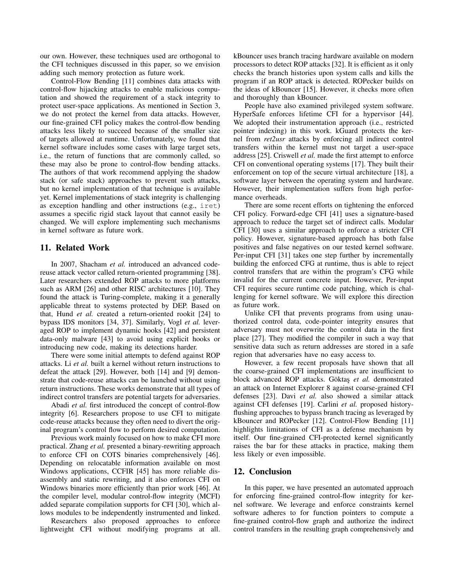our own. However, these techniques used are orthogonal to the CFI techniques discussed in this paper, so we envision adding such memory protection as future work.

Control-Flow Bending [11] combines data attacks with control-flow hijacking attacks to enable malicious computation and showed the requirement of a stack integrity to protect user-space applications. As mentioned in Section 3, we do not protect the kernel from data attacks. However, our fine-grained CFI policy makes the control-flow bending attacks less likely to succeed because of the smaller size of targets allowed at runtime. Unfortunately, we found that kernel software includes some cases with large target sets, i.e., the return of functions that are commonly called, so these may also be prone to control-flow bending attacks. The authors of that work recommend applying the shadow stack (or safe stack) approaches to prevent such attacks, but no kernel implementation of that technique is available yet. Kernel implementations of stack integrity is challenging as exception handling and other instructions (e.g., iret) assumes a specific rigid stack layout that cannot easily be changed. We will explore implementing such mechanisms in kernel software as future work.

## 11. Related Work

In 2007, Shacham *et al.* introduced an advanced codereuse attack vector called return-oriented programming [38]. Later researchers extended ROP attacks to more platforms such as ARM [26] and other RISC architectures [10]. They found the attack is Turing-complete, making it a generally applicable threat to systems protected by DEP. Based on that, Hund *et al.* created a return-oriented rookit [24] to bypass IDS monitors [34, 37]. Similarly, Vogl *et al.* leveraged ROP to implement dynamic hooks [42] and persistent data-only malware [43] to avoid using explicit hooks or introducing new code, making its detections harder.

There were some initial attempts to defend against ROP attacks. Li *et al.* built a kernel without return instructions to defeat the attack [29]. However, both [14] and [9] demonstrate that code-reuse attacks can be launched without using return instructions. These works demonstrate that all types of indirect control transfers are potential targets for adversaries.

Abadi *et al.* first introduced the concept of control-flow integrity [6]. Researchers propose to use CFI to mitigate code-reuse attacks because they often need to divert the original program's control flow to perform desired computation.

Previous work mainly focused on how to make CFI more practical. Zhang *et al.* presented a binary-rewriting approach to enforce CFI on COTS binaries comprehensively [46]. Depending on relocatable information available on most Windows applications, CCFIR [45] has more reliable disassembly and static rewriting, and it also enforces CFI on Windows binaries more efficiently than prior work [46]. At the compiler level, modular control-flow integrity (MCFI) added separate compilation supports for CFI [30], which allows modules to be independently instrumented and linked.

Researchers also proposed approaches to enforce lightweight CFI without modifying programs at all. kBouncer uses branch tracing hardware available on modern processors to detect ROP attacks [32]. It is efficient as it only checks the branch histories upon system calls and kills the program if an ROP attack is detected. ROPecker builds on the ideas of kBouncer [15]. However, it checks more often and thoroughly than kBouncer.

People have also examined privileged system software. HyperSafe enforces lifetime CFI for a hypervisor [44]. We adopted their instrumentation approach (i.e., restricted pointer indexing) in this work. kGuard protects the kernel from *ret2usr* attacks by enforcing all indirect control transfers within the kernel must not target a user-space address [25]. Criswell *et al.* made the first attempt to enforce CFI on conventional operating systems [17]. They built their enforcement on top of the secure virtual architecture [18], a software layer between the operating system and hardware. However, their implementation suffers from high performance overheads.

There are some recent efforts on tightening the enforced CFI policy. Forward-edge CFI [41] uses a signature-based approach to reduce the target set of indirect calls. Modular CFI [30] uses a similar approach to enforce a stricter CFI policy. However, signature-based approach has both false positives and false negatives on our tested kernel software. Per-input CFI [31] takes one step further by incrementally building the enforced CFG at runtime, thus is able to reject control transfers that are within the program's CFG while invalid for the current concrete input. However, Per-input CFI requires secure runtime code patching, which is challenging for kernel software. We will explore this direction as future work.

Unlike CFI that prevents programs from using unauthorized control data, code-pointer integrity ensures that adversary must not overwrite the control data in the first place [27]. They modified the compiler in such a way that sensitive data such as return addresses are stored in a safe region that adversaries have no easy access to.

However, a few recent proposals have shown that all the coarse-grained CFI implementations are insufficient to block advanced ROP attacks. Göktaş et al. demonstrated an attack on Internet Explorer 8 against coarse-grained CFI defenses [23]. Davi *et al.* also showed a similar attack against CFI defenses [19]. Carlini *et al.* proposed historyflushing approaches to bypass branch tracing as leveraged by kBouncer and ROPecker [12]. Control-Flow Bending [11] highlights limitations of CFI as a defense mechanism by itself. Our fine-grained CFI-protected kernel significantly raises the bar for these attacks in practice, making them less likely or even impossible.

# 12. Conclusion

In this paper, we have presented an automated approach for enforcing fine-grained control-flow integrity for kernel software. We leverage and enforce constraints kernel software adheres to for function pointers to compute a fine-grained control-flow graph and authorize the indirect control transfers in the resulting graph comprehensively and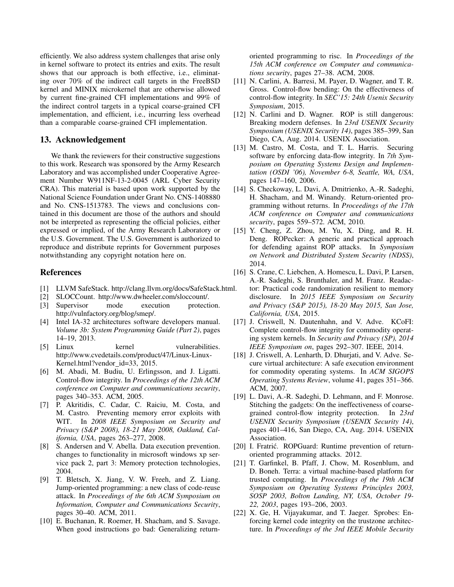efficiently. We also address system challenges that arise only in kernel software to protect its entries and exits. The result shows that our approach is both effective, i.e., eliminating over 70% of the indirect call targets in the FreeBSD kernel and MINIX microkernel that are otherwise allowed by current fine-grained CFI implementations and 99% of the indirect control targets in a typical coarse-grained CFI implementation, and efficient, i.e., incurring less overhead than a comparable coarse-grained CFI implementation.

# 13. Acknowledgement

We thank the reviewers for their constructive suggestions to this work. Research was sponsored by the Army Research Laboratory and was accomplished under Cooperative Agreement Number W911NF-13-2-0045 (ARL Cyber Security CRA). This material is based upon work supported by the National Science Foundation under Grant No. CNS-1408880 and No. CNS-1513783. The views and conclusions contained in this document are those of the authors and should not be interpreted as representing the official policies, either expressed or implied, of the Army Research Laboratory or the U.S. Government. The U.S. Government is authorized to reproduce and distribute reprints for Government purposes notwithstanding any copyright notation here on.

# References

- [1] LLVM SafeStack. http://clang.llvm.org/docs/SafeStack.html.
- [2] SLOCCount. http://www.dwheeler.com/sloccount/.
- [3] Supervisor mode execution protection. http://vulnfactory.org/blog/smep/.
- [4] Intel IA-32 architectures software developers manual. *Volume 3b: System Programming Guide (Part 2)*, pages 14–19, 2013.
- [5] Linux kernel vulnerabilities. http://www.cvedetails.com/product/47/Linux-Linux-Kernel.html?vendor\_id=33, 2015.
- [6] M. Abadi, M. Budiu, U. Erlingsson, and J. Ligatti. Control-flow integrity. In *Proceedings of the 12th ACM conference on Computer and communications security*, pages 340–353. ACM, 2005.
- [7] P. Akritidis, C. Cadar, C. Raiciu, M. Costa, and M. Castro. Preventing memory error exploits with WIT. In *2008 IEEE Symposium on Security and Privacy (S&P 2008), 18-21 May 2008, Oakland, California, USA*, pages 263–277, 2008.
- [8] S. Andersen and V. Abella. Data execution prevention. changes to functionality in microsoft windows xp service pack 2, part 3: Memory protection technologies, 2004.
- [9] T. Bletsch, X. Jiang, V. W. Freeh, and Z. Liang. Jump-oriented programming: a new class of code-reuse attack. In *Proceedings of the 6th ACM Symposium on Information, Computer and Communications Security*, pages 30–40. ACM, 2011.
- [10] E. Buchanan, R. Roemer, H. Shacham, and S. Savage. When good instructions go bad: Generalizing return-

oriented programming to risc. In *Proceedings of the 15th ACM conference on Computer and communications security*, pages 27–38. ACM, 2008.

- [11] N. Carlini, A. Barresi, M. Payer, D. Wagner, and T. R. Gross. Control-flow bending: On the effectiveness of control-flow integrity. In *SEC'15: 24th Usenix Security Symposium*, 2015.
- [12] N. Carlini and D. Wagner. ROP is still dangerous: Breaking modern defenses. In *23rd USENIX Security Symposium (USENIX Security 14)*, pages 385–399, San Diego, CA, Aug. 2014. USENIX Association.
- [13] M. Castro, M. Costa, and T. L. Harris. Securing software by enforcing data-flow integrity. In *7th Symposium on Operating Systems Design and Implementation (OSDI '06), November 6-8, Seattle, WA, USA*, pages 147–160, 2006.
- [14] S. Checkoway, L. Davi, A. Dmitrienko, A.-R. Sadeghi, H. Shacham, and M. Winandy. Return-oriented programming without returns. In *Proceedings of the 17th ACM conference on Computer and communications security*, pages 559–572. ACM, 2010.
- [15] Y. Cheng, Z. Zhou, M. Yu, X. Ding, and R. H. Deng. ROPecker: A generic and practical approach for defending against ROP attacks. In *Symposium on Network and Distributed System Security (NDSS)*, 2014.
- [16] S. Crane, C. Liebchen, A. Homescu, L. Davi, P. Larsen, A.-R. Sadeghi, S. Brunthaler, and M. Franz. Readactor: Practical code randomization resilient to memory disclosure. In *2015 IEEE Symposium on Security and Privacy (S&P 2015), 18-20 May 2015, San Jose, California, USA*, 2015.
- [17] J. Criswell, N. Dautenhahn, and V. Adve. KCoFI: Complete control-flow integrity for commodity operating system kernels. In *Security and Privacy (SP), 2014 IEEE Symposium on*, pages 292–307. IEEE, 2014.
- [18] J. Criswell, A. Lenharth, D. Dhurjati, and V. Adve. Secure virtual architecture: A safe execution environment for commodity operating systems. In *ACM SIGOPS Operating Systems Review*, volume 41, pages 351–366. ACM, 2007.
- [19] L. Davi, A.-R. Sadeghi, D. Lehmann, and F. Monrose. Stitching the gadgets: On the ineffectiveness of coarsegrained control-flow integrity protection. In *23rd USENIX Security Symposium (USENIX Security 14)*, pages 401–416, San Diego, CA, Aug. 2014. USENIX Association.
- [20] I. Fratrić. ROPGuard: Runtime prevention of returnoriented programming attacks. 2012.
- [21] T. Garfinkel, B. Pfaff, J. Chow, M. Rosenblum, and D. Boneh. Terra: a virtual machine-based platform for trusted computing. In *Proceedings of the 19th ACM Symposium on Operating Systems Principles 2003, SOSP 2003, Bolton Landing, NY, USA, October 19- 22, 2003*, pages 193–206, 2003.
- [22] X. Ge, H. Vijayakumar, and T. Jaeger. Sprobes: Enforcing kernel code integrity on the trustzone architecture. In *Proceedings of the 3rd IEEE Mobile Security*